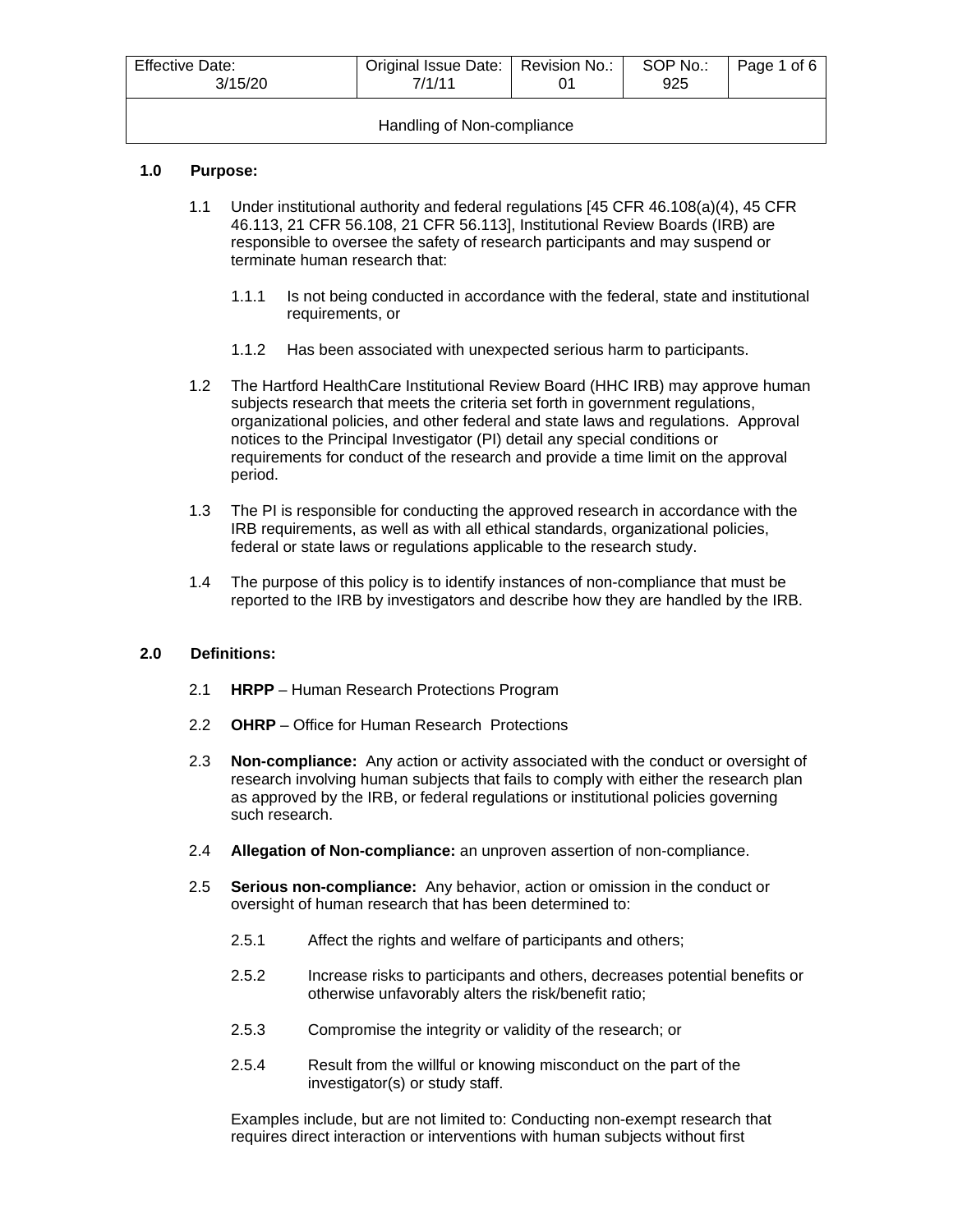| <b>Effective Date:</b><br>3/15/20 | Original Issue Date:   Revision No.:<br>7/1/11 |  | SOP No.:<br>925 | Page 1 of 6 |
|-----------------------------------|------------------------------------------------|--|-----------------|-------------|
| Handling of Non-compliance        |                                                |  |                 |             |

## **1.0 Purpose:**

- 1.1 Under institutional authority and federal regulations [45 CFR 46.108(a)(4), 45 CFR 46.113, 21 CFR 56.108, 21 CFR 56.113], Institutional Review Boards (IRB) are responsible to oversee the safety of research participants and may suspend or terminate human research that:
	- 1.1.1 Is not being conducted in accordance with the federal, state and institutional requirements, or
	- 1.1.2 Has been associated with unexpected serious harm to participants.
- 1.2 The Hartford HealthCare Institutional Review Board (HHC IRB) may approve human subjects research that meets the criteria set forth in government regulations, organizational policies, and other federal and state laws and regulations. Approval notices to the Principal Investigator (PI) detail any special conditions or requirements for conduct of the research and provide a time limit on the approval period.
- 1.3 The PI is responsible for conducting the approved research in accordance with the IRB requirements, as well as with all ethical standards, organizational policies, federal or state laws or regulations applicable to the research study.
- 1.4 The purpose of this policy is to identify instances of non-compliance that must be reported to the IRB by investigators and describe how they are handled by the IRB.

#### **2.0 Definitions:**

- 2.1 **HRPP** Human Research Protections Program
- 2.2 **OHRP** Office for Human Research Protections
- 2.3 **Non-compliance:** Any action or activity associated with the conduct or oversight of research involving human subjects that fails to comply with either the research plan as approved by the IRB, or federal regulations or institutional policies governing such research.
- 2.4 **Allegation of Non-compliance:** an unproven assertion of non-compliance.
- 2.5 **Serious non-compliance:** Any behavior, action or omission in the conduct or oversight of human research that has been determined to:
	- 2.5.1 Affect the rights and welfare of participants and others;
	- 2.5.2 Increase risks to participants and others, decreases potential benefits or otherwise unfavorably alters the risk/benefit ratio;
	- 2.5.3 Compromise the integrity or validity of the research; or
	- 2.5.4 Result from the willful or knowing misconduct on the part of the investigator(s) or study staff.

Examples include, but are not limited to: Conducting non-exempt research that requires direct interaction or interventions with human subjects without first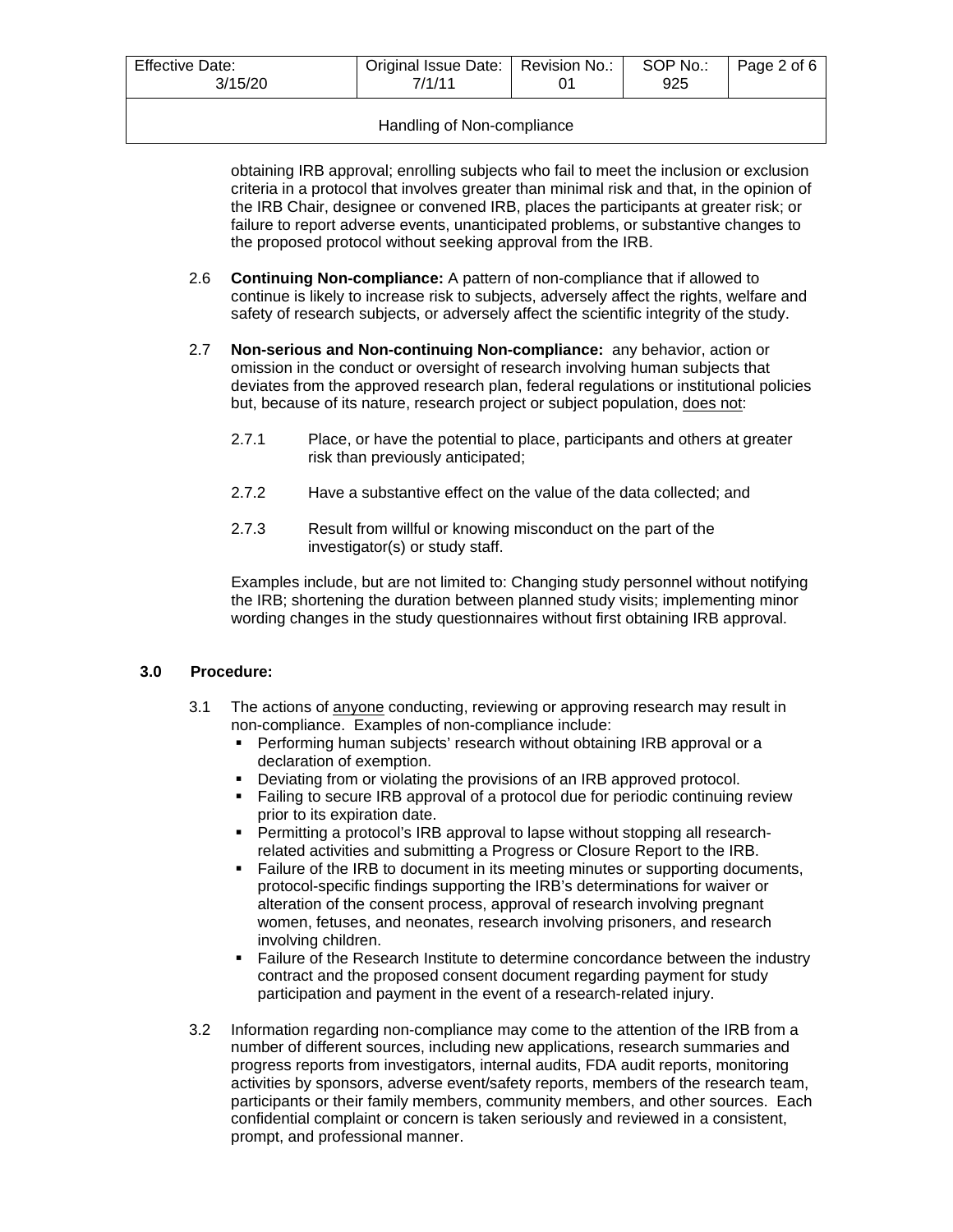| <b>Effective Date:</b><br>3/15/20 | Original Issue Date:   Revision No.:<br>7/1/11 | SOP No.:<br>925 | Page 2 of 6 |
|-----------------------------------|------------------------------------------------|-----------------|-------------|
|                                   |                                                |                 |             |

### Handling of Non-compliance

obtaining IRB approval; enrolling subjects who fail to meet the inclusion or exclusion criteria in a protocol that involves greater than minimal risk and that, in the opinion of the IRB Chair, designee or convened IRB, places the participants at greater risk; or failure to report adverse events, unanticipated problems, or substantive changes to the proposed protocol without seeking approval from the IRB.

- 2.6 **Continuing Non-compliance:** A pattern of non-compliance that if allowed to continue is likely to increase risk to subjects, adversely affect the rights, welfare and safety of research subjects, or adversely affect the scientific integrity of the study.
- 2.7 **Non-serious and Non-continuing Non-compliance:** any behavior, action or omission in the conduct or oversight of research involving human subjects that deviates from the approved research plan, federal regulations or institutional policies but, because of its nature, research project or subject population, does not:
	- 2.7.1 Place, or have the potential to place, participants and others at greater risk than previously anticipated;
	- 2.7.2 Have a substantive effect on the value of the data collected; and
	- 2.7.3 Result from willful or knowing misconduct on the part of the investigator(s) or study staff.

Examples include, but are not limited to: Changing study personnel without notifying the IRB; shortening the duration between planned study visits; implementing minor wording changes in the study questionnaires without first obtaining IRB approval.

## **3.0 Procedure:**

- 3.1 The actions of anyone conducting, reviewing or approving research may result in non-compliance. Examples of non-compliance include:
	- **Performing human subjects' research without obtaining IRB approval or a** declaration of exemption.
	- **Deviating from or violating the provisions of an IRB approved protocol.**
	- Failing to secure IRB approval of a protocol due for periodic continuing review prior to its expiration date.
	- Permitting a protocol's IRB approval to lapse without stopping all researchrelated activities and submitting a Progress or Closure Report to the IRB.
	- Failure of the IRB to document in its meeting minutes or supporting documents, protocol-specific findings supporting the IRB's determinations for waiver or alteration of the consent process, approval of research involving pregnant women, fetuses, and neonates, research involving prisoners, and research involving children.
	- **Failure of the Research Institute to determine concordance between the industry** contract and the proposed consent document regarding payment for study participation and payment in the event of a research-related injury.
- 3.2 Information regarding non-compliance may come to the attention of the IRB from a number of different sources, including new applications, research summaries and progress reports from investigators, internal audits, FDA audit reports, monitoring activities by sponsors, adverse event/safety reports, members of the research team, participants or their family members, community members, and other sources. Each confidential complaint or concern is taken seriously and reviewed in a consistent, prompt, and professional manner.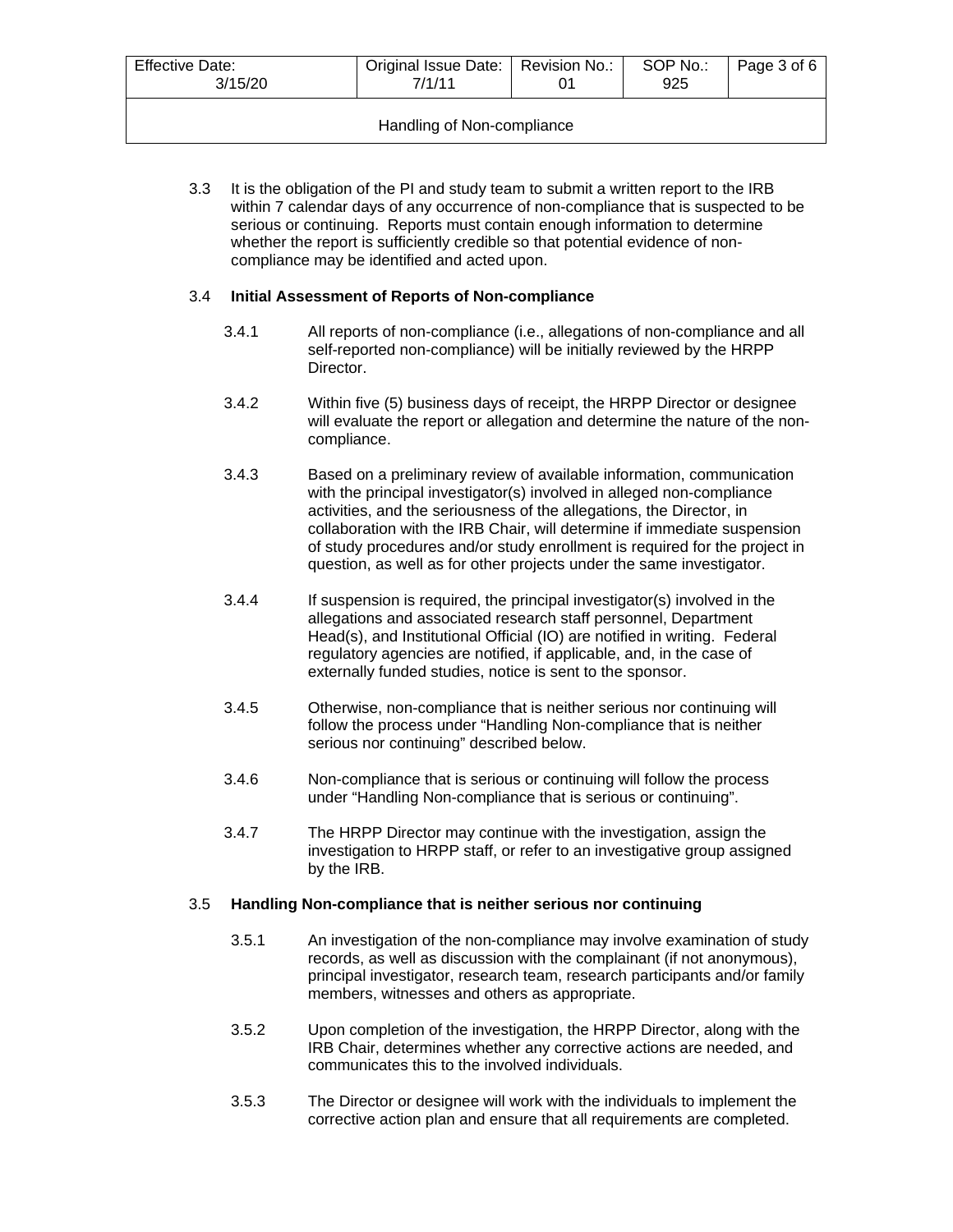| <b>Effective Date:</b><br>3/15/20 | Original Issue Date:   Revision No.:<br>7/1/11 |  | SOP No.:<br>925 | Page 3 of 6 |
|-----------------------------------|------------------------------------------------|--|-----------------|-------------|
| Handling of Non-compliance        |                                                |  |                 |             |

3.3 It is the obligation of the PI and study team to submit a written report to the IRB within 7 calendar days of any occurrence of non-compliance that is suspected to be serious or continuing. Reports must contain enough information to determine whether the report is sufficiently credible so that potential evidence of noncompliance may be identified and acted upon.

## 3.4 **Initial Assessment of Reports of Non-compliance**

- 3.4.1 All reports of non-compliance (i.e., allegations of non-compliance and all self-reported non-compliance) will be initially reviewed by the HRPP Director.
- 3.4.2 Within five (5) business days of receipt, the HRPP Director or designee will evaluate the report or allegation and determine the nature of the noncompliance.
- 3.4.3 Based on a preliminary review of available information, communication with the principal investigator(s) involved in alleged non-compliance activities, and the seriousness of the allegations, the Director, in collaboration with the IRB Chair, will determine if immediate suspension of study procedures and/or study enrollment is required for the project in question, as well as for other projects under the same investigator.
- 3.4.4 If suspension is required, the principal investigator(s) involved in the allegations and associated research staff personnel, Department Head(s), and Institutional Official (IO) are notified in writing. Federal regulatory agencies are notified, if applicable, and, in the case of externally funded studies, notice is sent to the sponsor.
- 3.4.5 Otherwise, non-compliance that is neither serious nor continuing will follow the process under "Handling Non-compliance that is neither serious nor continuing" described below.
- 3.4.6 Non-compliance that is serious or continuing will follow the process under "Handling Non-compliance that is serious or continuing".
- 3.4.7 The HRPP Director may continue with the investigation, assign the investigation to HRPP staff, or refer to an investigative group assigned by the IRB.

#### 3.5 **Handling Non-compliance that is neither serious nor continuing**

- 3.5.1 An investigation of the non-compliance may involve examination of study records, as well as discussion with the complainant (if not anonymous), principal investigator, research team, research participants and/or family members, witnesses and others as appropriate.
- 3.5.2 Upon completion of the investigation, the HRPP Director, along with the IRB Chair, determines whether any corrective actions are needed, and communicates this to the involved individuals.
- 3.5.3 The Director or designee will work with the individuals to implement the corrective action plan and ensure that all requirements are completed.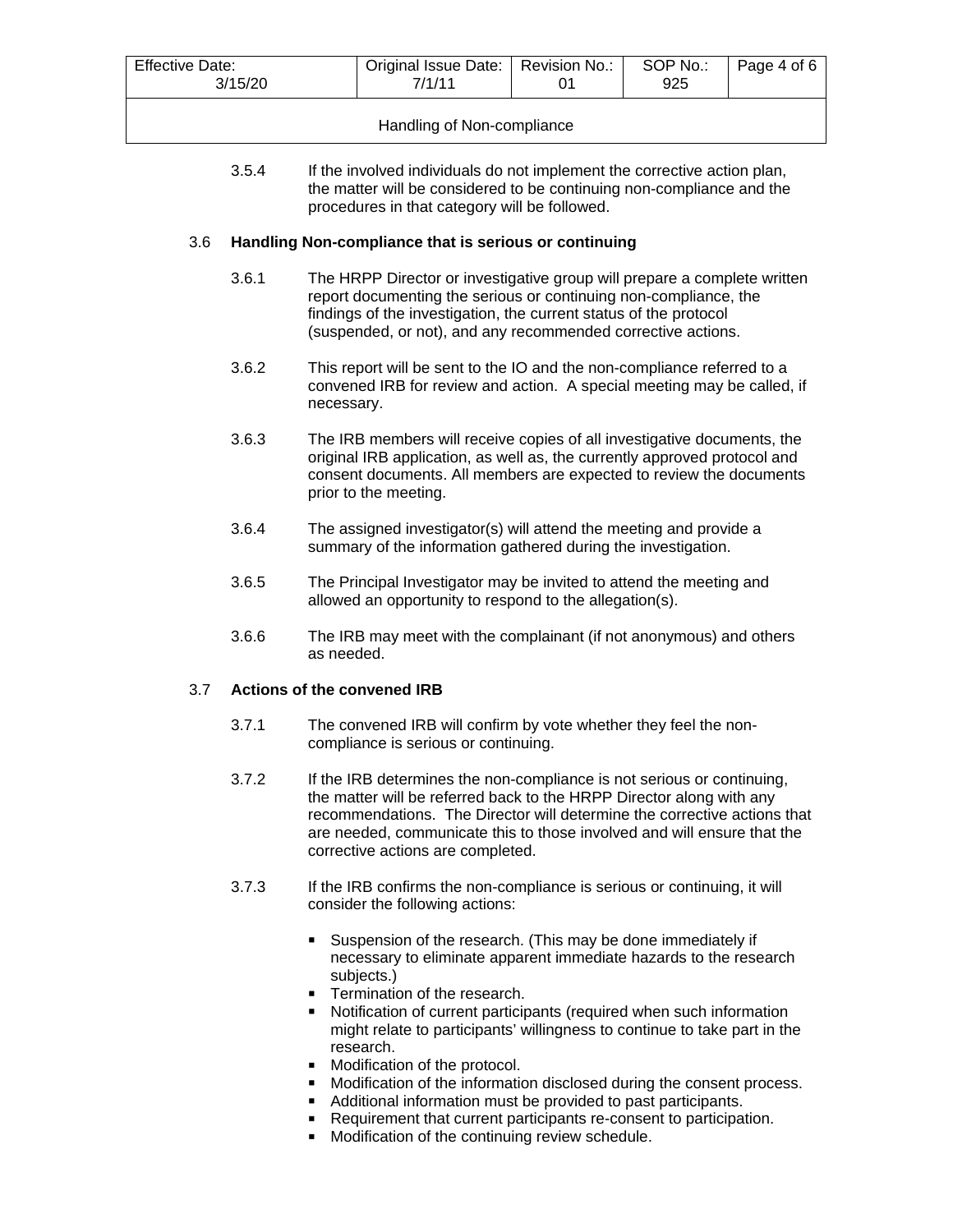| <b>Effective Date:</b><br>3/15/20 | Original Issue Date:   Revision No.:<br>7/1/11 |  | SOP No.:<br>925 | Page 4 of 6 |
|-----------------------------------|------------------------------------------------|--|-----------------|-------------|
| Handling of Non-compliance        |                                                |  |                 |             |

3.5.4 If the involved individuals do not implement the corrective action plan, the matter will be considered to be continuing non-compliance and the procedures in that category will be followed.

## 3.6 **Handling Non-compliance that is serious or continuing**

- 3.6.1 The HRPP Director or investigative group will prepare a complete written report documenting the serious or continuing non-compliance, the findings of the investigation, the current status of the protocol (suspended, or not), and any recommended corrective actions.
- 3.6.2 This report will be sent to the IO and the non-compliance referred to a convened IRB for review and action. A special meeting may be called, if necessary.
- 3.6.3 The IRB members will receive copies of all investigative documents, the original IRB application, as well as, the currently approved protocol and consent documents. All members are expected to review the documents prior to the meeting.
- 3.6.4 The assigned investigator(s) will attend the meeting and provide a summary of the information gathered during the investigation.
- 3.6.5 The Principal Investigator may be invited to attend the meeting and allowed an opportunity to respond to the allegation(s).
- 3.6.6 The IRB may meet with the complainant (if not anonymous) and others as needed.

#### 3.7 **Actions of the convened IRB**

- 3.7.1 The convened IRB will confirm by vote whether they feel the noncompliance is serious or continuing.
- 3.7.2 If the IRB determines the non-compliance is not serious or continuing, the matter will be referred back to the HRPP Director along with any recommendations. The Director will determine the corrective actions that are needed, communicate this to those involved and will ensure that the corrective actions are completed.
- 3.7.3 If the IRB confirms the non-compliance is serious or continuing, it will consider the following actions:
	- **Suspension of the research. (This may be done immediately if** necessary to eliminate apparent immediate hazards to the research subjects.)
	- Termination of the research.
	- Notification of current participants (required when such information might relate to participants' willingness to continue to take part in the research.
	- Modification of the protocol.
	- Modification of the information disclosed during the consent process.
	- Additional information must be provided to past participants.
	- Requirement that current participants re-consent to participation.
	- **Modification of the continuing review schedule.**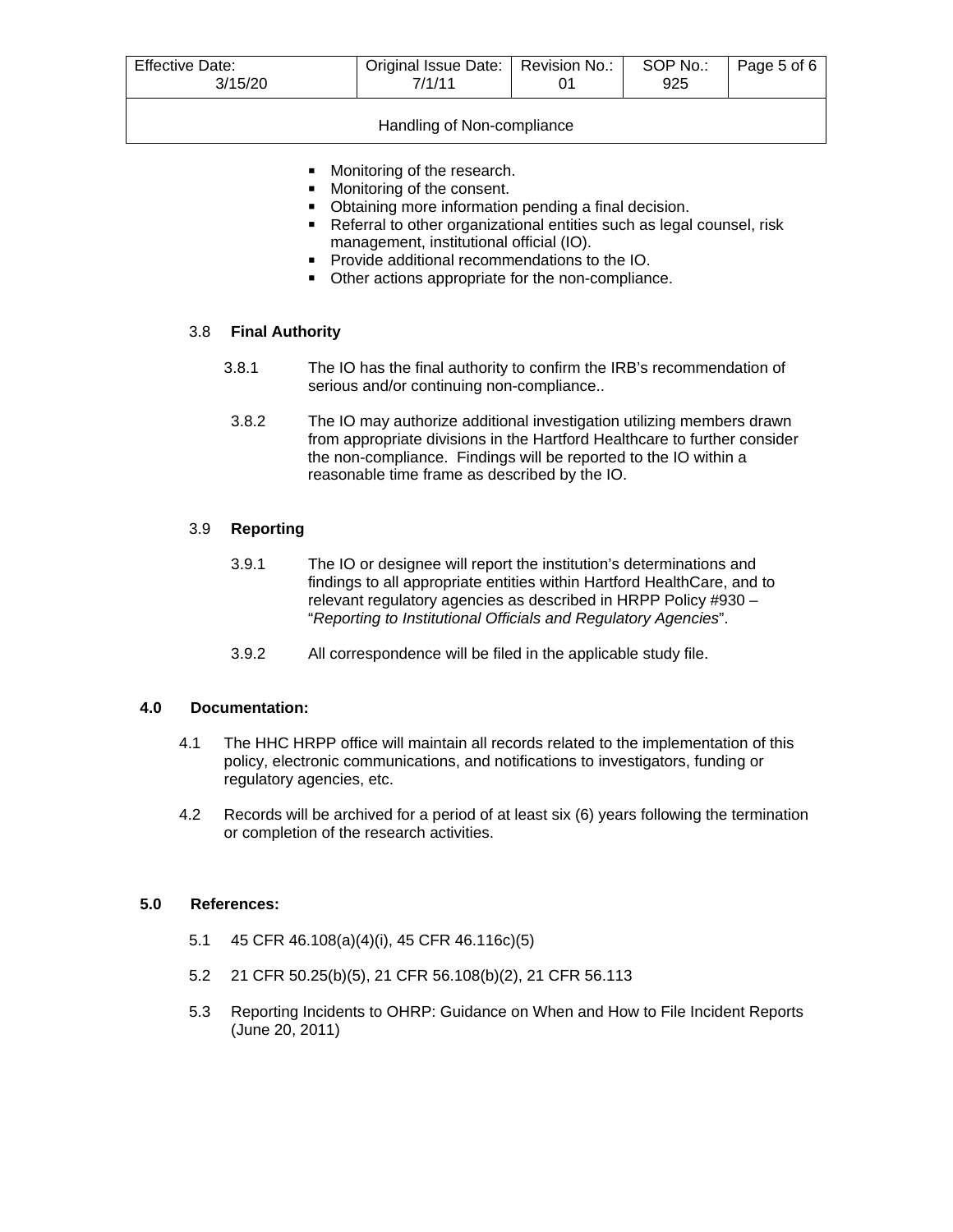| <b>Effective Date:</b><br>3/15/20 | Original Issue Date:   Revision No.:  <br>7/1/11 |  | SOP No.:<br>925 | Page 5 of 6 |
|-----------------------------------|--------------------------------------------------|--|-----------------|-------------|
| Handling of Non-compliance        |                                                  |  |                 |             |

- **Monitoring of the research.**
- **Monitoring of the consent.**
- Obtaining more information pending a final decision.
- Referral to other organizational entities such as legal counsel, risk management, institutional official (IO).
- **Provide additional recommendations to the IO.**
- Other actions appropriate for the non-compliance.

#### 3.8 **Final Authority**

- 3.8.1 The IO has the final authority to confirm the IRB's recommendation of serious and/or continuing non-compliance..
- 3.8.2 The IO may authorize additional investigation utilizing members drawn from appropriate divisions in the Hartford Healthcare to further consider the non-compliance. Findings will be reported to the IO within a reasonable time frame as described by the IO.

#### 3.9 **Reporting**

- 3.9.1 The IO or designee will report the institution's determinations and findings to all appropriate entities within Hartford HealthCare, and to relevant regulatory agencies as described in HRPP Policy #930 – "*Reporting to Institutional Officials and Regulatory Agencies*".
- 3.9.2 All correspondence will be filed in the applicable study file.

#### **4.0 Documentation:**

- 4.1 The HHC HRPP office will maintain all records related to the implementation of this policy, electronic communications, and notifications to investigators, funding or regulatory agencies, etc.
- 4.2 Records will be archived for a period of at least six (6) years following the termination or completion of the research activities.

#### **5.0 References:**

- 5.1 45 CFR 46.108(a)(4)(i), 45 CFR 46.116c)(5)
- 5.2 21 CFR 50.25(b)(5), 21 CFR 56.108(b)(2), 21 CFR 56.113
- 5.3 Reporting Incidents to OHRP: Guidance on When and How to File Incident Reports (June 20, 2011)